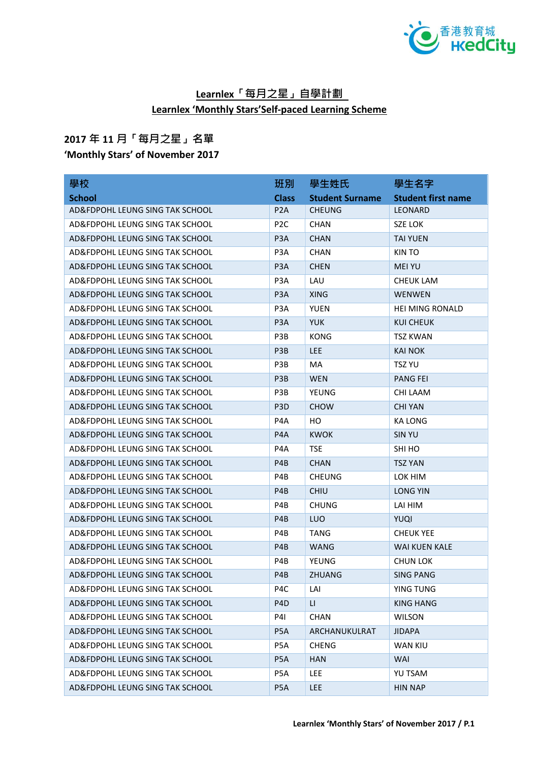

## **Learnlex「每月之星」自學計劃 Learnlex 'Monthly Stars'Self-paced Learning Scheme**

## **2017 年 11 月「每月之星」名單**

## **'Monthly Stars' of November 2017**

| 學校                              | 班別               | 學生姓氏                   | 學生名字                      |
|---------------------------------|------------------|------------------------|---------------------------|
| <b>School</b>                   | <b>Class</b>     | <b>Student Surname</b> | <b>Student first name</b> |
| AD&FDPOHL LEUNG SING TAK SCHOOL | P <sub>2</sub> A | <b>CHEUNG</b>          | LEONARD                   |
| AD&FDPOHL LEUNG SING TAK SCHOOL | P <sub>2</sub> C | <b>CHAN</b>            | SZE LOK                   |
| AD&FDPOHL LEUNG SING TAK SCHOOL | P <sub>3</sub> A | <b>CHAN</b>            | <b>TAI YUEN</b>           |
| AD&FDPOHL LEUNG SING TAK SCHOOL | P <sub>3</sub> A | <b>CHAN</b>            | <b>KINTO</b>              |
| AD&FDPOHL LEUNG SING TAK SCHOOL | P <sub>3</sub> A | <b>CHEN</b>            | MEI YU                    |
| AD&FDPOHL LEUNG SING TAK SCHOOL | P <sub>3</sub> A | LAU                    | <b>CHEUK LAM</b>          |
| AD&FDPOHL LEUNG SING TAK SCHOOL | P <sub>3</sub> A | <b>XING</b>            | WENWEN                    |
| AD&FDPOHL LEUNG SING TAK SCHOOL | P <sub>3</sub> A | YUEN                   | <b>HEI MING RONALD</b>    |
| AD&FDPOHL LEUNG SING TAK SCHOOL | P <sub>3</sub> A | <b>YUK</b>             | KUI CHEUK                 |
| AD&FDPOHL LEUNG SING TAK SCHOOL | P3B              | <b>KONG</b>            | <b>TSZ KWAN</b>           |
| AD&FDPOHL LEUNG SING TAK SCHOOL | P <sub>3</sub> B | <b>LEE</b>             | <b>KAI NOK</b>            |
| AD&FDPOHL LEUNG SING TAK SCHOOL | P3B              | MA                     | <b>TSZ YU</b>             |
| AD&FDPOHL LEUNG SING TAK SCHOOL | P3B              | <b>WEN</b>             | <b>PANG FEI</b>           |
| AD&FDPOHL LEUNG SING TAK SCHOOL | P3B              | YEUNG                  | CHI LAAM                  |
| AD&FDPOHL LEUNG SING TAK SCHOOL | P <sub>3</sub> D | <b>CHOW</b>            | <b>CHI YAN</b>            |
| AD&FDPOHL LEUNG SING TAK SCHOOL | P4A              | HO                     | KA LONG                   |
| AD&FDPOHL LEUNG SING TAK SCHOOL | P <sub>4</sub> A | <b>KWOK</b>            | <b>SIN YU</b>             |
| AD&FDPOHL LEUNG SING TAK SCHOOL | P4A              | TSE                    | SHI HO                    |
| AD&FDPOHL LEUNG SING TAK SCHOOL | P <sub>4</sub> B | <b>CHAN</b>            | <b>TSZ YAN</b>            |
| AD&FDPOHL LEUNG SING TAK SCHOOL | P4B              | <b>CHEUNG</b>          | LOK HIM                   |
| AD&FDPOHL LEUNG SING TAK SCHOOL | P <sub>4</sub> B | <b>CHIU</b>            | LONG YIN                  |
| AD&FDPOHL LEUNG SING TAK SCHOOL | P4B              | <b>CHUNG</b>           | LAI HIM                   |
| AD&FDPOHL LEUNG SING TAK SCHOOL | P <sub>4</sub> B | <b>LUO</b>             | YUQI                      |
| AD&FDPOHL LEUNG SING TAK SCHOOL | P4B              | TANG                   | <b>CHEUK YEE</b>          |
| AD&FDPOHL LEUNG SING TAK SCHOOL | P <sub>4</sub> B | <b>WANG</b>            | <b>WAI KUEN KALE</b>      |
| AD&FDPOHL LEUNG SING TAK SCHOOL | P4B              | YEUNG                  | CHUN LOK                  |
| AD&FDPOHL LEUNG SING TAK SCHOOL | P <sub>4</sub> B | <b>ZHUANG</b>          | <b>SING PANG</b>          |
| AD&FDPOHL LEUNG SING TAK SCHOOL | P4C              | LAI                    | YING TUNG                 |
| AD&FDPOHL LEUNG SING TAK SCHOOL | P <sub>4</sub> D | LI.                    | KING HANG                 |
| AD&FDPOHL LEUNG SING TAK SCHOOL | P4I              | <b>CHAN</b>            | <b>WILSON</b>             |
| AD&FDPOHL LEUNG SING TAK SCHOOL | P <sub>5</sub> A | ARCHANUKULRAT          | <b>JIDAPA</b>             |
| AD&FDPOHL LEUNG SING TAK SCHOOL | P5A              | <b>CHENG</b>           | <b>WAN KIU</b>            |
| AD&FDPOHL LEUNG SING TAK SCHOOL | P5A              | <b>HAN</b>             | WAI                       |
| AD&FDPOHL LEUNG SING TAK SCHOOL | P5A              | LEE                    | YU TSAM                   |
| AD&FDPOHL LEUNG SING TAK SCHOOL | P <sub>5</sub> A | <b>LEE</b>             | <b>HIN NAP</b>            |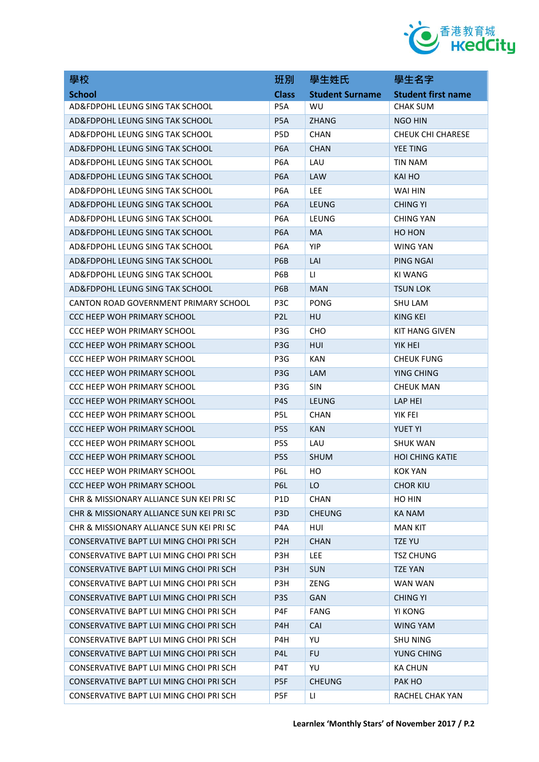

| 學校                                       | 班別               | 學生姓氏                   | 學生名字                      |
|------------------------------------------|------------------|------------------------|---------------------------|
| <b>School</b>                            | <b>Class</b>     | <b>Student Surname</b> | <b>Student first name</b> |
| AD&FDPOHL LEUNG SING TAK SCHOOL          | P5A              | WU                     | CHAK SUM                  |
| AD&FDPOHL LEUNG SING TAK SCHOOL          | P <sub>5</sub> A | <b>ZHANG</b>           | <b>NGO HIN</b>            |
| AD&FDPOHL LEUNG SING TAK SCHOOL          | P5D              | <b>CHAN</b>            | <b>CHEUK CHI CHARESE</b>  |
| AD&FDPOHL LEUNG SING TAK SCHOOL          | P <sub>6</sub> A | <b>CHAN</b>            | <b>YEE TING</b>           |
| AD&FDPOHL LEUNG SING TAK SCHOOL          | P <sub>6</sub> A | LAU                    | TIN NAM                   |
| AD&FDPOHL LEUNG SING TAK SCHOOL          | P <sub>6</sub> A | <b>LAW</b>             | KAI HO                    |
| AD&FDPOHL LEUNG SING TAK SCHOOL          | P6A              | LEE.                   | WAI HIN                   |
| AD&FDPOHL LEUNG SING TAK SCHOOL          | P <sub>6</sub> A | LEUNG                  | <b>CHING YI</b>           |
| AD&FDPOHL LEUNG SING TAK SCHOOL          | P6A              | LEUNG                  | CHING YAN                 |
| AD&FDPOHL LEUNG SING TAK SCHOOL          | P <sub>6</sub> A | <b>MA</b>              | <b>HO HON</b>             |
| AD&FDPOHL LEUNG SING TAK SCHOOL          | P <sub>6</sub> A | YIP                    | WING YAN                  |
| AD&FDPOHL LEUNG SING TAK SCHOOL          | P6B              | LAI                    | PING NGAI                 |
| AD&FDPOHL LEUNG SING TAK SCHOOL          | P6B              | LI.                    | KI WANG                   |
| AD&FDPOHL LEUNG SING TAK SCHOOL          | P <sub>6</sub> B | <b>MAN</b>             | <b>TSUN LOK</b>           |
| CANTON ROAD GOVERNMENT PRIMARY SCHOOL    | P <sub>3</sub> C | <b>PONG</b>            | <b>SHU LAM</b>            |
| CCC HEEP WOH PRIMARY SCHOOL              | P <sub>2</sub> L | HU                     | KING KEI                  |
| CCC HEEP WOH PRIMARY SCHOOL              | P3G              | <b>CHO</b>             | <b>KIT HANG GIVEN</b>     |
| CCC HEEP WOH PRIMARY SCHOOL              | P <sub>3</sub> G | HUI                    | YIK HEI                   |
| CCC HEEP WOH PRIMARY SCHOOL              | P3G              | KAN                    | <b>CHEUK FUNG</b>         |
| <b>CCC HEEP WOH PRIMARY SCHOOL</b>       | P <sub>3</sub> G | <b>LAM</b>             | YING CHING                |
| CCC HEEP WOH PRIMARY SCHOOL              | P3G              | <b>SIN</b>             | <b>CHEUK MAN</b>          |
| CCC HEEP WOH PRIMARY SCHOOL              | P <sub>4</sub> S | LEUNG                  | LAP HEI                   |
| CCC HEEP WOH PRIMARY SCHOOL              | P5L              | <b>CHAN</b>            | YIK FEI                   |
| CCC HEEP WOH PRIMARY SCHOOL              | P <sub>5</sub> S | <b>KAN</b>             | <b>YUET YI</b>            |
| CCC HEEP WOH PRIMARY SCHOOL              | P <sub>5</sub> S | LAU                    | <b>SHUK WAN</b>           |
| CCC HEEP WOH PRIMARY SCHOOL              | P <sub>5</sub> S | <b>SHUM</b>            | <b>HOI CHING KATIE</b>    |
| CCC HEEP WOH PRIMARY SCHOOL              | P6L              | HО                     | <b>KOK YAN</b>            |
| <b>CCC HEEP WOH PRIMARY SCHOOL</b>       | P6L              | LO.                    | <b>CHOR KIU</b>           |
| CHR & MISSIONARY ALLIANCE SUN KEI PRI SC | P1D              | <b>CHAN</b>            | HO HIN                    |
| CHR & MISSIONARY ALLIANCE SUN KEI PRI SC | P <sub>3</sub> D | <b>CHEUNG</b>          | KA NAM                    |
| CHR & MISSIONARY ALLIANCE SUN KEI PRI SC | P4A              | HUI                    | MAN KIT                   |
| CONSERVATIVE BAPT LUI MING CHOI PRI SCH  | P <sub>2</sub> H | <b>CHAN</b>            | <b>TZE YU</b>             |
| CONSERVATIVE BAPT LUI MING CHOI PRI SCH  | P3H              | LEE.                   | TSZ CHUNG                 |
| CONSERVATIVE BAPT LUI MING CHOI PRI SCH  | P <sub>3</sub> H | <b>SUN</b>             | <b>TZE YAN</b>            |
| CONSERVATIVE BAPT LUI MING CHOI PRI SCH  | P3H              | <b>ZENG</b>            | <b>WAN WAN</b>            |
| CONSERVATIVE BAPT LUI MING CHOI PRI SCH  | P <sub>3</sub> S | GAN                    | <b>CHING YI</b>           |
| CONSERVATIVE BAPT LUI MING CHOI PRI SCH  | P4F              | <b>FANG</b>            | YI KONG                   |
| CONSERVATIVE BAPT LUI MING CHOI PRI SCH  | P4H              | CAI                    | <b>WING YAM</b>           |
| CONSERVATIVE BAPT LUI MING CHOI PRI SCH  | P4H              | YU                     | <b>SHU NING</b>           |
| CONSERVATIVE BAPT LUI MING CHOI PRI SCH  | P4L              | <b>FU</b>              | YUNG CHING                |
| CONSERVATIVE BAPT LUI MING CHOI PRI SCH  | P4T              | YU                     | <b>KA CHUN</b>            |
| CONSERVATIVE BAPT LUI MING CHOI PRI SCH  | P5F              | <b>CHEUNG</b>          | PAK HO                    |
| CONSERVATIVE BAPT LUI MING CHOI PRI SCH  | P5F              | LI.                    | RACHEL CHAK YAN           |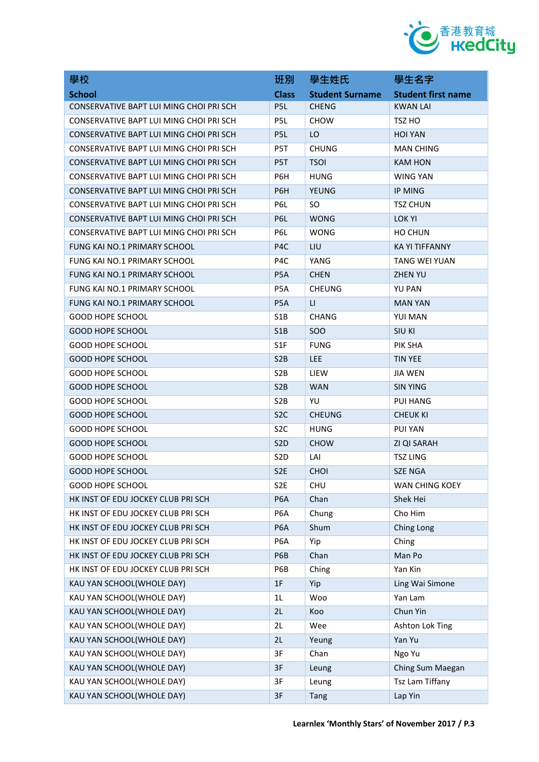

| 學校                                      | 班別               | 學生姓氏                   | 學生名字                      |
|-----------------------------------------|------------------|------------------------|---------------------------|
| <b>School</b>                           | <b>Class</b>     | <b>Student Surname</b> | <b>Student first name</b> |
| CONSERVATIVE BAPT LUI MING CHOI PRI SCH | P <sub>5L</sub>  | <b>CHENG</b>           | <b>KWAN LAI</b>           |
| CONSERVATIVE BAPT LUI MING CHOI PRI SCH | P5L              | <b>CHOW</b>            | TSZ HO                    |
| CONSERVATIVE BAPT LUI MING CHOI PRI SCH | P <sub>5</sub> L | LO                     | <b>HOI YAN</b>            |
| CONSERVATIVE BAPT LUI MING CHOI PRI SCH | P5T              | <b>CHUNG</b>           | <b>MAN CHING</b>          |
| CONSERVATIVE BAPT LUI MING CHOI PRI SCH | P <sub>5</sub> T | <b>TSOI</b>            | <b>KAM HON</b>            |
| CONSERVATIVE BAPT LUI MING CHOI PRI SCH | P6H              | <b>HUNG</b>            | <b>WING YAN</b>           |
| CONSERVATIVE BAPT LUI MING CHOI PRI SCH | P6H              | <b>YEUNG</b>           | <b>IP MING</b>            |
| CONSERVATIVE BAPT LUI MING CHOI PRI SCH | P6L              | SO                     | <b>TSZ CHUN</b>           |
| CONSERVATIVE BAPT LUI MING CHOI PRI SCH | P6L              | <b>WONG</b>            | LOK YI                    |
| CONSERVATIVE BAPT LUI MING CHOI PRI SCH | P6L              | <b>WONG</b>            | <b>HO CHUN</b>            |
| FUNG KAI NO.1 PRIMARY SCHOOL            | P <sub>4</sub> C | LIU                    | KA YI TIFFANNY            |
| FUNG KAI NO.1 PRIMARY SCHOOL            | P4C              | YANG                   | <b>TANG WEI YUAN</b>      |
| FUNG KAI NO.1 PRIMARY SCHOOL            | P <sub>5</sub> A | <b>CHEN</b>            | <b>ZHEN YU</b>            |
| FUNG KAI NO.1 PRIMARY SCHOOL            | P5A              | <b>CHEUNG</b>          | YU PAN                    |
| FUNG KAI NO.1 PRIMARY SCHOOL            | P <sub>5</sub> A | $\mathsf{L}$           | <b>MAN YAN</b>            |
| GOOD HOPE SCHOOL                        | S <sub>1</sub> B | <b>CHANG</b>           | <b>YUI MAN</b>            |
| <b>GOOD HOPE SCHOOL</b>                 | S1B              | SOO                    | <b>SIU KI</b>             |
| GOOD HOPE SCHOOL                        | S <sub>1</sub> F | <b>FUNG</b>            | PIK SHA                   |
| <b>GOOD HOPE SCHOOL</b>                 | S <sub>2</sub> B | LEE.                   | TIN YEE                   |
| GOOD HOPE SCHOOL                        | S <sub>2</sub> B | LIEW                   | JIA WEN                   |
| <b>GOOD HOPE SCHOOL</b>                 | S <sub>2</sub> B | <b>WAN</b>             | <b>SIN YING</b>           |
| <b>GOOD HOPE SCHOOL</b>                 | S <sub>2</sub> B | YU                     | <b>PUI HANG</b>           |
| <b>GOOD HOPE SCHOOL</b>                 | S <sub>2</sub> C | <b>CHEUNG</b>          | <b>CHEUK KI</b>           |
| GOOD HOPE SCHOOL                        | S <sub>2</sub> C | <b>HUNG</b>            | PUI YAN                   |
| <b>GOOD HOPE SCHOOL</b>                 | S <sub>2</sub> D | <b>CHOW</b>            | ZI QI SARAH               |
| GOOD HOPE SCHOOL                        | S <sub>2</sub> D | LAI                    | <b>TSZ LING</b>           |
| <b>GOOD HOPE SCHOOL</b>                 | S <sub>2E</sub>  | <b>CHOI</b>            | <b>SZE NGA</b>            |
| <b>GOOD HOPE SCHOOL</b>                 | S <sub>2</sub> E | <b>CHU</b>             | WAN CHING KOEY            |
| HK INST OF EDU JOCKEY CLUB PRI SCH      | P <sub>6</sub> A | Chan                   | Shek Hei                  |
| HK INST OF EDU JOCKEY CLUB PRI SCH      | P <sub>6</sub> A | Chung                  | Cho Him                   |
| HK INST OF EDU JOCKEY CLUB PRI SCH      | P <sub>6</sub> A | Shum                   | Ching Long                |
| HK INST OF EDU JOCKEY CLUB PRI SCH      | P6A              | Yip                    | Ching                     |
| HK INST OF EDU JOCKEY CLUB PRI SCH      | P6B              | Chan                   | Man Po                    |
| HK INST OF EDU JOCKEY CLUB PRI SCH      | P6B              | Ching                  | Yan Kin                   |
| KAU YAN SCHOOL(WHOLE DAY)               | 1F               | Yip                    | Ling Wai Simone           |
| KAU YAN SCHOOL(WHOLE DAY)               | 1L               | <b>Woo</b>             | Yan Lam                   |
| KAU YAN SCHOOL(WHOLE DAY)               | 2L               | Koo                    | Chun Yin                  |
| KAU YAN SCHOOL(WHOLE DAY)               | 2L               | Wee                    | Ashton Lok Ting           |
| KAU YAN SCHOOL(WHOLE DAY)               | 2L               | Yeung                  | Yan Yu                    |
| KAU YAN SCHOOL(WHOLE DAY)               | 3F               | Chan                   | Ngo Yu                    |
| KAU YAN SCHOOL(WHOLE DAY)               | 3F               | Leung                  | Ching Sum Maegan          |
| KAU YAN SCHOOL(WHOLE DAY)               | 3F               | Leung                  | Tsz Lam Tiffany           |
| KAU YAN SCHOOL(WHOLE DAY)               | 3F               | Tang                   | Lap Yin                   |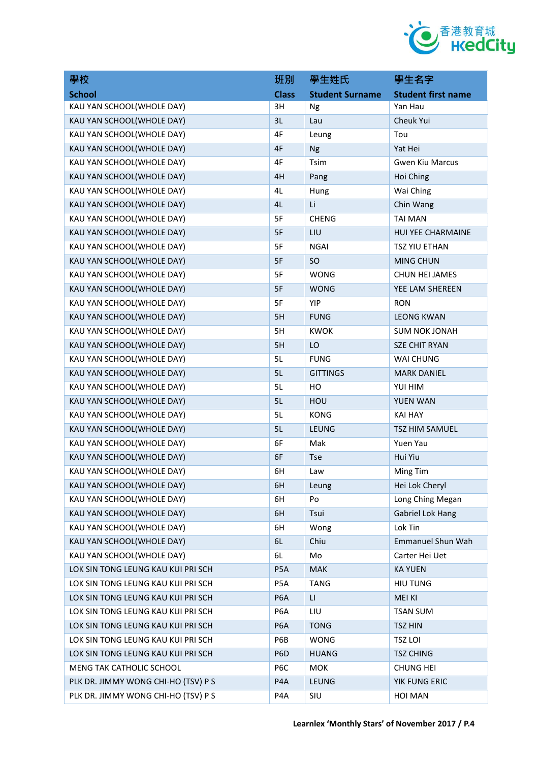

| 學校                                  | 班別               | 學生姓氏                   | 學生名字                      |
|-------------------------------------|------------------|------------------------|---------------------------|
| <b>School</b>                       | <b>Class</b>     | <b>Student Surname</b> | <b>Student first name</b> |
| KAU YAN SCHOOL(WHOLE DAY)           | 3H               | Ng                     | Yan Hau                   |
| KAU YAN SCHOOL(WHOLE DAY)           | 3L               | Lau                    | Cheuk Yui                 |
| KAU YAN SCHOOL(WHOLE DAY)           | 4F               | Leung                  | Tou                       |
| KAU YAN SCHOOL(WHOLE DAY)           | 4F               | <b>Ng</b>              | Yat Hei                   |
| KAU YAN SCHOOL(WHOLE DAY)           | 4F               | Tsim                   | <b>Gwen Kiu Marcus</b>    |
| KAU YAN SCHOOL(WHOLE DAY)           | 4H               | Pang                   | Hoi Ching                 |
| KAU YAN SCHOOL(WHOLE DAY)           | 4L               | Hung                   | Wai Ching                 |
| KAU YAN SCHOOL(WHOLE DAY)           | 4L               | Li                     | Chin Wang                 |
| KAU YAN SCHOOL(WHOLE DAY)           | 5F               | <b>CHENG</b>           | <b>TAI MAN</b>            |
| KAU YAN SCHOOL(WHOLE DAY)           | 5F               | LIU                    | HUI YEE CHARMAINE         |
| KAU YAN SCHOOL(WHOLE DAY)           | 5F               | <b>NGAI</b>            | <b>TSZ YIU ETHAN</b>      |
| KAU YAN SCHOOL(WHOLE DAY)           | 5F               | <sub>SO</sub>          | <b>MING CHUN</b>          |
| KAU YAN SCHOOL(WHOLE DAY)           | 5F               | <b>WONG</b>            | CHUN HEI JAMES            |
| KAU YAN SCHOOL(WHOLE DAY)           | 5F               | <b>WONG</b>            | YEE LAM SHEREEN           |
| KAU YAN SCHOOL(WHOLE DAY)           | 5F               | YIP                    | <b>RON</b>                |
| KAU YAN SCHOOL(WHOLE DAY)           | 5H               | <b>FUNG</b>            | <b>LEONG KWAN</b>         |
| KAU YAN SCHOOL(WHOLE DAY)           | 5H               | <b>KWOK</b>            | <b>SUM NOK JONAH</b>      |
| KAU YAN SCHOOL(WHOLE DAY)           | 5H               | LO                     | <b>SZE CHIT RYAN</b>      |
| KAU YAN SCHOOL(WHOLE DAY)           | 5L               | <b>FUNG</b>            | <b>WAI CHUNG</b>          |
| KAU YAN SCHOOL(WHOLE DAY)           | 5L               | <b>GITTINGS</b>        | <b>MARK DANIEL</b>        |
| KAU YAN SCHOOL(WHOLE DAY)           | 5L               | HO                     | YUI HIM                   |
| KAU YAN SCHOOL(WHOLE DAY)           | 5L               | HOU                    | <b>YUEN WAN</b>           |
| KAU YAN SCHOOL(WHOLE DAY)           | 5L               | <b>KONG</b>            | <b>KAI HAY</b>            |
| KAU YAN SCHOOL(WHOLE DAY)           | 5L               | LEUNG                  | TSZ HIM SAMUEL            |
| KAU YAN SCHOOL(WHOLE DAY)           | 6F               | Mak                    | Yuen Yau                  |
| KAU YAN SCHOOL(WHOLE DAY)           | 6F               | <b>Tse</b>             | Hui Yiu                   |
| KAU YAN SCHOOL(WHOLE DAY)           | 6H               | Law                    | Ming Tim                  |
| KAU YAN SCHOOL(WHOLE DAY)           | 6H               | Leung                  | Hei Lok Cheryl            |
| KAU YAN SCHOOL(WHOLE DAY)           | 6H               | Po                     | Long Ching Megan          |
| KAU YAN SCHOOL(WHOLE DAY)           | 6H               | Tsui                   | Gabriel Lok Hang          |
| KAU YAN SCHOOL(WHOLE DAY)           | 6H               | Wong                   | Lok Tin                   |
| KAU YAN SCHOOL(WHOLE DAY)           | 6L               | Chiu                   | Emmanuel Shun Wah         |
| KAU YAN SCHOOL(WHOLE DAY)           | 6L               | Mo                     | Carter Hei Uet            |
| LOK SIN TONG LEUNG KAU KUI PRI SCH  | P5A              | <b>MAK</b>             | <b>KA YUEN</b>            |
| LOK SIN TONG LEUNG KAU KUI PRI SCH  | P5A              | <b>TANG</b>            | <b>HIU TUNG</b>           |
| LOK SIN TONG LEUNG KAU KUI PRI SCH  | P <sub>6</sub> A | $\mathsf{L}\mathsf{I}$ | <b>MEI KI</b>             |
| LOK SIN TONG LEUNG KAU KUI PRI SCH  | P6A              | LIU                    | <b>TSAN SUM</b>           |
| LOK SIN TONG LEUNG KAU KUI PRI SCH  | P6A              | <b>TONG</b>            | <b>TSZ HIN</b>            |
| LOK SIN TONG LEUNG KAU KUI PRI SCH  | P6B              | <b>WONG</b>            | <b>TSZ LOI</b>            |
| LOK SIN TONG LEUNG KAU KUI PRI SCH  | P6D              | <b>HUANG</b>           | <b>TSZ CHING</b>          |
| MENG TAK CATHOLIC SCHOOL            | P <sub>6</sub> C | <b>MOK</b>             | <b>CHUNG HEI</b>          |
| PLK DR. JIMMY WONG CHI-HO (TSV) P S | P4A              | LEUNG                  | YIK FUNG ERIC             |
| PLK DR. JIMMY WONG CHI-HO (TSV) P S | P4A              | SIU                    | <b>HOI MAN</b>            |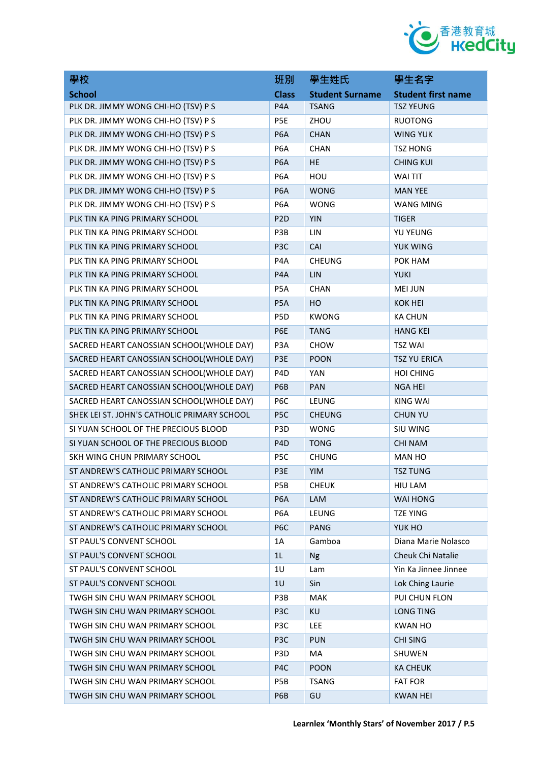

| 學校                                          | 班別               | 學生姓氏                   | 學生名字                      |
|---------------------------------------------|------------------|------------------------|---------------------------|
| <b>School</b>                               | <b>Class</b>     | <b>Student Surname</b> | <b>Student first name</b> |
| PLK DR. JIMMY WONG CHI-HO (TSV) P S         | P4A              | <b>TSANG</b>           | <b>TSZ YEUNG</b>          |
| PLK DR. JIMMY WONG CHI-HO (TSV) P S         | P5E              | ZHOU                   | <b>RUOTONG</b>            |
| PLK DR. JIMMY WONG CHI-HO (TSV) P S         | P <sub>6</sub> A | <b>CHAN</b>            | <b>WING YUK</b>           |
| PLK DR. JIMMY WONG CHI-HO (TSV) P S         | P6A              | <b>CHAN</b>            | <b>TSZ HONG</b>           |
| PLK DR. JIMMY WONG CHI-HO (TSV) P S         | P <sub>6</sub> A | <b>HE</b>              | <b>CHING KUI</b>          |
| PLK DR. JIMMY WONG CHI-HO (TSV) P S         | P6A              | HOU                    | <b>WAI TIT</b>            |
| PLK DR. JIMMY WONG CHI-HO (TSV) P S         | P <sub>6</sub> A | <b>WONG</b>            | <b>MAN YEE</b>            |
| PLK DR. JIMMY WONG CHI-HO (TSV) P S         | P6A              | <b>WONG</b>            | <b>WANG MING</b>          |
| PLK TIN KA PING PRIMARY SCHOOL              | P <sub>2</sub> D | <b>YIN</b>             | <b>TIGER</b>              |
| PLK TIN KA PING PRIMARY SCHOOL              | P3B              | LIN                    | YU YEUNG                  |
| PLK TIN KA PING PRIMARY SCHOOL              | P <sub>3</sub> C | CAI                    | YUK WING                  |
| PLK TIN KA PING PRIMARY SCHOOL              | P4A              | <b>CHEUNG</b>          | POK HAM                   |
| PLK TIN KA PING PRIMARY SCHOOL              | P4A              | <b>LIN</b>             | <b>YUKI</b>               |
| PLK TIN KA PING PRIMARY SCHOOL              | P5A              | <b>CHAN</b>            | <b>MEI JUN</b>            |
| PLK TIN KA PING PRIMARY SCHOOL              | P <sub>5</sub> A | HO                     | <b>KOK HEI</b>            |
| PLK TIN KA PING PRIMARY SCHOOL              | P5D              | <b>KWONG</b>           | <b>KA CHUN</b>            |
| PLK TIN KA PING PRIMARY SCHOOL              | P6E              | <b>TANG</b>            | <b>HANG KEI</b>           |
| SACRED HEART CANOSSIAN SCHOOL(WHOLE DAY)    | P <sub>3</sub> A | <b>CHOW</b>            | <b>TSZ WAI</b>            |
| SACRED HEART CANOSSIAN SCHOOL(WHOLE DAY)    | P3E              | <b>POON</b>            | <b>TSZ YU ERICA</b>       |
| SACRED HEART CANOSSIAN SCHOOL(WHOLE DAY)    | P <sub>4</sub> D | <b>YAN</b>             | <b>HOI CHING</b>          |
| SACRED HEART CANOSSIAN SCHOOL(WHOLE DAY)    | P6B              | <b>PAN</b>             | <b>NGA HEI</b>            |
| SACRED HEART CANOSSIAN SCHOOL(WHOLE DAY)    | P6C              | LEUNG                  | <b>KING WAI</b>           |
| SHEK LEI ST. JOHN'S CATHOLIC PRIMARY SCHOOL | P5C              | <b>CHEUNG</b>          | <b>CHUN YU</b>            |
| SI YUAN SCHOOL OF THE PRECIOUS BLOOD        | P <sub>3</sub> D | <b>WONG</b>            | <b>SIU WING</b>           |
| SI YUAN SCHOOL OF THE PRECIOUS BLOOD        | P <sub>4</sub> D | <b>TONG</b>            | <b>CHI NAM</b>            |
| SKH WING CHUN PRIMARY SCHOOL                | P5C              | <b>CHUNG</b>           | <b>MAN HO</b>             |
| ST ANDREW'S CATHOLIC PRIMARY SCHOOL         | P3E              | YIM                    | <b>TSZ TUNG</b>           |
| ST ANDREW'S CATHOLIC PRIMARY SCHOOL         | P5B              | <b>CHEUK</b>           | HIU LAM                   |
| ST ANDREW'S CATHOLIC PRIMARY SCHOOL         | P6A              | LAM                    | WAI HONG                  |
| ST ANDREW'S CATHOLIC PRIMARY SCHOOL         | P6A              | LEUNG                  | <b>TZE YING</b>           |
| ST ANDREW'S CATHOLIC PRIMARY SCHOOL         | P6C              | <b>PANG</b>            | YUK HO                    |
| ST PAUL'S CONVENT SCHOOL                    | 1A               | Gamboa                 | Diana Marie Nolasco       |
| ST PAUL'S CONVENT SCHOOL                    | 1L               | <b>Ng</b>              | Cheuk Chi Natalie         |
| ST PAUL'S CONVENT SCHOOL                    | 1U               | Lam                    | Yin Ka Jinnee Jinnee      |
| ST PAUL'S CONVENT SCHOOL                    | 1U               | Sin                    | Lok Ching Laurie          |
| TWGH SIN CHU WAN PRIMARY SCHOOL             | P3B              | MAK                    | PUI CHUN FLON             |
| TWGH SIN CHU WAN PRIMARY SCHOOL             | P <sub>3</sub> C | <b>KU</b>              | <b>LONG TING</b>          |
| TWGH SIN CHU WAN PRIMARY SCHOOL             | P3C              | LEE                    | <b>KWAN HO</b>            |
| TWGH SIN CHU WAN PRIMARY SCHOOL             | P3C              | <b>PUN</b>             | <b>CHI SING</b>           |
| TWGH SIN CHU WAN PRIMARY SCHOOL             | P <sub>3</sub> D | MA                     | SHUWEN                    |
| TWGH SIN CHU WAN PRIMARY SCHOOL             | P4C              | <b>POON</b>            | <b>KA CHEUK</b>           |
| TWGH SIN CHU WAN PRIMARY SCHOOL             | P5B              | <b>TSANG</b>           | <b>FAT FOR</b>            |
| TWGH SIN CHU WAN PRIMARY SCHOOL             | P6B              | GU                     | <b>KWAN HEI</b>           |